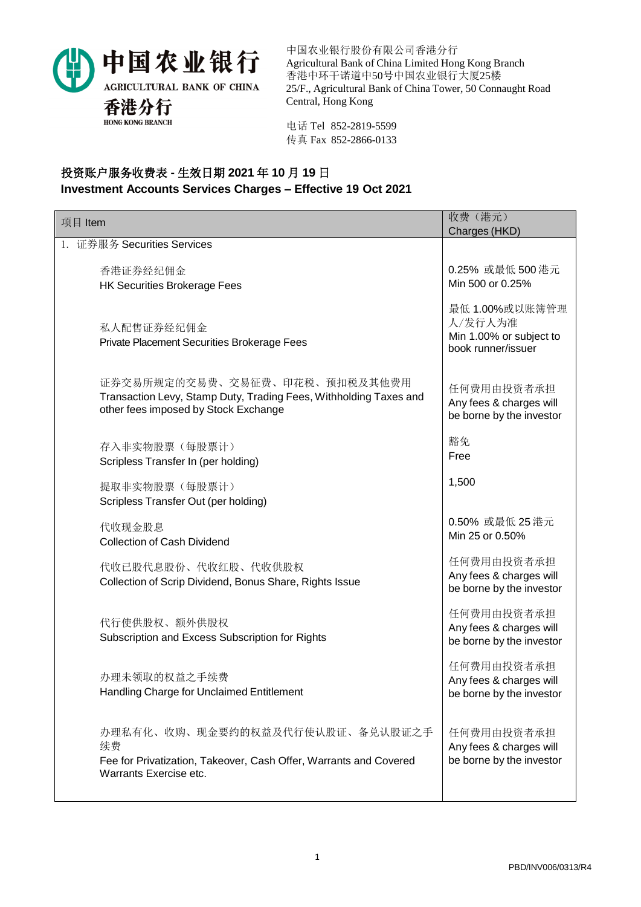

中国农业银行股份有限公司香港分行 Agricultural Bank of China Limited Hong Kong Branch 香港中环干诺道中50号中国农业银行大厦25楼 25/F., Agricultural Bank of China Tower, 50 Connaught Road Central, Hong Kong

电话 Tel 852-2819-5599 传真 Fax 852-2866-0133

## 投资账户服务收费表 **-** 生效日期 **2021** 年 **10** 月 **19** 日 **Investment Accounts Services Charges – Effective 19 Oct 2021**

| 项目 Item                                                                                                                                    | 收费(港元)<br>Charges (HKD)                                                    |
|--------------------------------------------------------------------------------------------------------------------------------------------|----------------------------------------------------------------------------|
| 1. 证券服务 Securities Services                                                                                                                |                                                                            |
| 香港证券经纪佣金<br><b>HK Securities Brokerage Fees</b>                                                                                            | 0.25% 或最低 500 港元<br>Min 500 or 0.25%                                       |
| 私人配售证券经纪佣金<br>Private Placement Securities Brokerage Fees                                                                                  | 最低 1.00%或以账簿管理<br>人/发行人为准<br>Min 1.00% or subject to<br>book runner/issuer |
| 证券交易所规定的交易费、交易征费、印花税、预扣税及其他费用<br>Transaction Levy, Stamp Duty, Trading Fees, Withholding Taxes and<br>other fees imposed by Stock Exchange | 任何费用由投资者承担<br>Any fees & charges will<br>be borne by the investor          |
| 存入非实物股票(每股票计)<br>Scripless Transfer In (per holding)                                                                                       | 豁免<br>Free                                                                 |
| 提取非实物股票(每股票计)<br>Scripless Transfer Out (per holding)                                                                                      | 1,500                                                                      |
| 代收现金股息<br><b>Collection of Cash Dividend</b>                                                                                               | 0.50% 或最低 25 港元<br>Min 25 or 0.50%                                         |
| 代收已股代息股份、代收红股、代收供股权<br>Collection of Scrip Dividend, Bonus Share, Rights Issue                                                             | 任何费用由投资者承担<br>Any fees & charges will<br>be borne by the investor          |
| 代行使供股权、额外供股权<br>Subscription and Excess Subscription for Rights                                                                            | 任何费用由投资者承担<br>Any fees & charges will<br>be borne by the investor          |
| 办理未领取的权益之手续费<br>Handling Charge for Unclaimed Entitlement                                                                                  | 任何费用由投资者承担<br>Any fees & charges will<br>be borne by the investor          |
| 办理私有化、收购、现金要约的权益及代行使认股证、备兑认股证之手<br>续费<br>Fee for Privatization, Takeover, Cash Offer, Warrants and Covered<br>Warrants Exercise etc.       | 任何费用由投资者承担<br>Any fees & charges will<br>be borne by the investor          |